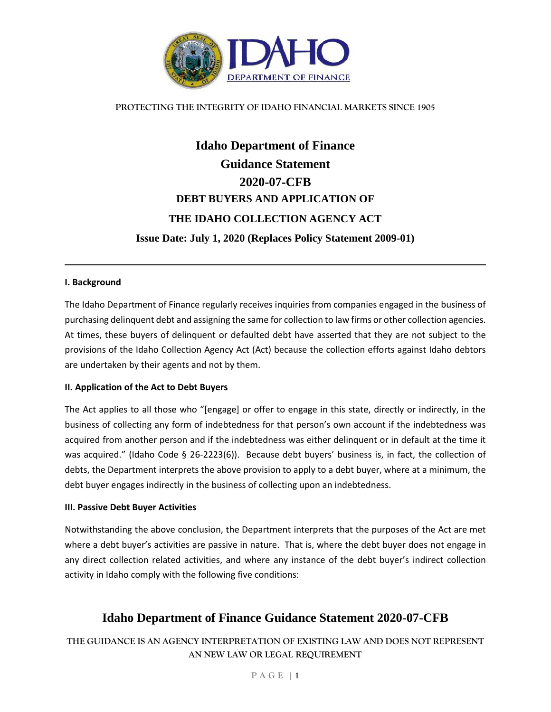

### **PROTECTING THE INTEGRITY OF IDAHO FINANCIAL MARKETS SINCE 1905**

# **Idaho Department of Finance Guidance Statement 2020-07-CFB DEBT BUYERS AND APPLICATION OF THE IDAHO COLLECTION AGENCY ACT Issue Date: July 1, 2020 (Replaces Policy Statement 2009-01)**

### **I. Background**

The Idaho Department of Finance regularly receives inquiries from companies engaged in the business of purchasing delinquent debt and assigning the same for collection to law firms or other collection agencies. At times, these buyers of delinquent or defaulted debt have asserted that they are not subject to the provisions of the Idaho Collection Agency Act (Act) because the collection efforts against Idaho debtors are undertaken by their agents and not by them.

#### **II. Application of the Act to Debt Buyers**

The Act applies to all those who "[engage] or offer to engage in this state, directly or indirectly, in the business of collecting any form of indebtedness for that person's own account if the indebtedness was acquired from another person and if the indebtedness was either delinquent or in default at the time it was acquired." (Idaho Code § 26-2223(6)). Because debt buyers' business is, in fact, the collection of debts, the Department interprets the above provision to apply to a debt buyer, where at a minimum, the debt buyer engages indirectly in the business of collecting upon an indebtedness.

#### **III. Passive Debt Buyer Activities**

Notwithstanding the above conclusion, the Department interprets that the purposes of the Act are met where a debt buyer's activities are passive in nature. That is, where the debt buyer does not engage in any direct collection related activities, and where any instance of the debt buyer's indirect collection activity in Idaho comply with the following five conditions:

## **Idaho Department of Finance Guidance Statement 2020-07-CFB**

**THE GUIDANCE IS AN AGENCY INTERPRETATION OF EXISTING LAW AND DOES NOT REPRESENT AN NEW LAW OR LEGAL REQUIREMENT**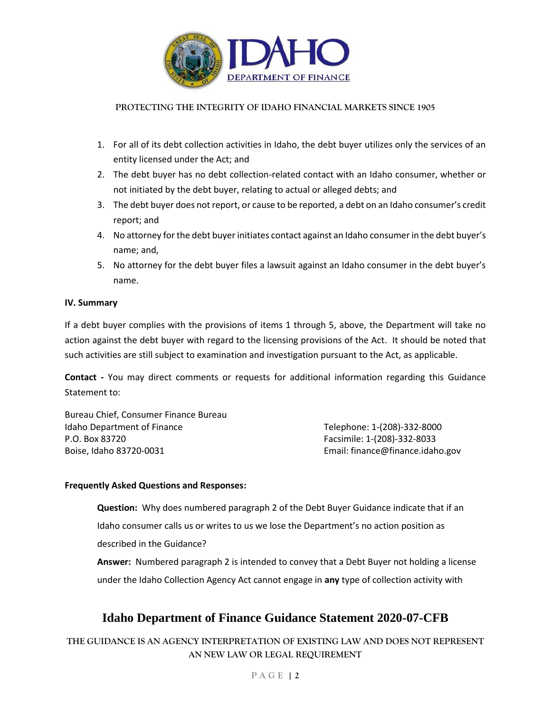

### **PROTECTING THE INTEGRITY OF IDAHO FINANCIAL MARKETS SINCE 1905**

- 1. For all of its debt collection activities in Idaho, the debt buyer utilizes only the services of an entity licensed under the Act; and
- 2. The debt buyer has no debt collection-related contact with an Idaho consumer, whether or not initiated by the debt buyer, relating to actual or alleged debts; and
- 3. The debt buyer does not report, or cause to be reported, a debt on an Idaho consumer's credit report; and
- 4. No attorney for the debt buyer initiates contact against an Idaho consumer in the debt buyer's name; and,
- 5. No attorney for the debt buyer files a lawsuit against an Idaho consumer in the debt buyer's name.

### **IV. Summary**

If a debt buyer complies with the provisions of items 1 through 5, above, the Department will take no action against the debt buyer with regard to the licensing provisions of the Act. It should be noted that such activities are still subject to examination and investigation pursuant to the Act, as applicable.

**Contact -** You may direct comments or requests for additional information regarding this Guidance Statement to:

Bureau Chief, Consumer Finance Bureau Idaho Department of Finance Telephone: 1-(208)-332-8000 P.O. Box 83720 Facsimile: 1-(208)-332-8033 Boise, Idaho 83720-0031 **Email: finance@finance.idaho.gov** Email: finance@finance.idaho.gov

### **Frequently Asked Questions and Responses:**

**Question:** Why does numbered paragraph 2 of the Debt Buyer Guidance indicate that if an Idaho consumer calls us or writes to us we lose the Department's no action position as described in the Guidance?

**Answer:** Numbered paragraph 2 is intended to convey that a Debt Buyer not holding a license under the Idaho Collection Agency Act cannot engage in **any** type of collection activity with

# **Idaho Department of Finance Guidance Statement 2020-07-CFB**

**THE GUIDANCE IS AN AGENCY INTERPRETATION OF EXISTING LAW AND DOES NOT REPRESENT AN NEW LAW OR LEGAL REQUIREMENT**